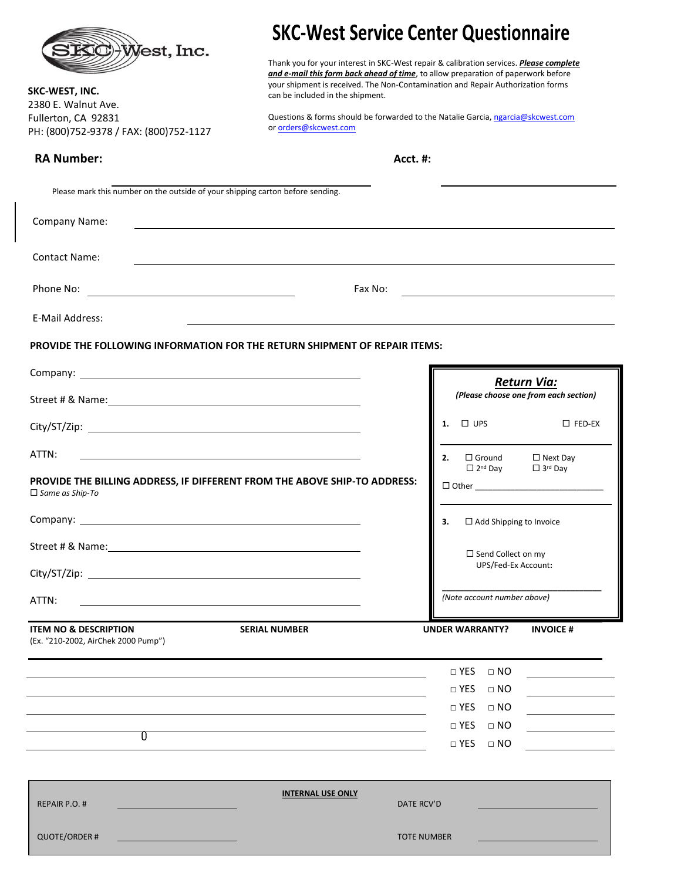|                                                                                                                                    | <b>SKC-West Service Center Questionnaire</b>                                                                                                                                                                                                                                                       |                                         |                                                                                                                      |
|------------------------------------------------------------------------------------------------------------------------------------|----------------------------------------------------------------------------------------------------------------------------------------------------------------------------------------------------------------------------------------------------------------------------------------------------|-----------------------------------------|----------------------------------------------------------------------------------------------------------------------|
| <b>EQCHWest, Inc.</b><br>SKC-WEST, INC.                                                                                            | Thank you for your interest in SKC-West repair & calibration services. Please complete<br>and e-mail this form back ahead of time, to allow preparation of paperwork before<br>your shipment is received. The Non-Contamination and Repair Authorization forms<br>can be included in the shipment. |                                         |                                                                                                                      |
| 2380 E. Walnut Ave.<br>Fullerton, CA 92831                                                                                         | Questions & forms should be forwarded to the Natalie Garcia, ngarcia@skcwest.com                                                                                                                                                                                                                   |                                         |                                                                                                                      |
| PH: (800)752-9378 / FAX: (800)752-1127                                                                                             | or orders@skcwest.com                                                                                                                                                                                                                                                                              |                                         |                                                                                                                      |
| <b>RA Number:</b>                                                                                                                  | <b>Acct. #:</b>                                                                                                                                                                                                                                                                                    |                                         |                                                                                                                      |
| Please mark this number on the outside of your shipping carton before sending.                                                     |                                                                                                                                                                                                                                                                                                    |                                         |                                                                                                                      |
| Company Name:                                                                                                                      | <u>and the state of the state of the state of the state of the state of the state of the state of the state of th</u>                                                                                                                                                                              |                                         |                                                                                                                      |
| <b>Contact Name:</b>                                                                                                               |                                                                                                                                                                                                                                                                                                    |                                         |                                                                                                                      |
| Phone No:<br><u> 1989 - Johann Harry Harry Harry Harry Harry Harry Harry Harry Harry Harry Harry Harry Harry Harry Harry Harry</u> | Fax No:<br><u> 1989 - Johann Stein, fransk politik (</u>                                                                                                                                                                                                                                           |                                         |                                                                                                                      |
| <b>E-Mail Address:</b>                                                                                                             |                                                                                                                                                                                                                                                                                                    |                                         |                                                                                                                      |
| PROVIDE THE FOLLOWING INFORMATION FOR THE RETURN SHIPMENT OF REPAIR ITEMS:                                                         |                                                                                                                                                                                                                                                                                                    |                                         |                                                                                                                      |
|                                                                                                                                    |                                                                                                                                                                                                                                                                                                    |                                         | <b>Return Via:</b>                                                                                                   |
|                                                                                                                                    |                                                                                                                                                                                                                                                                                                    |                                         | (Please choose one from each section)                                                                                |
|                                                                                                                                    |                                                                                                                                                                                                                                                                                                    | $\square$ UPS<br>1.                     | $\square$ FED-EX                                                                                                     |
| ATTN:                                                                                                                              |                                                                                                                                                                                                                                                                                                    | $\square$ Ground<br>2.                  | $\Box$ Next Day                                                                                                      |
| PROVIDE THE BILLING ADDRESS, IF DIFFERENT FROM THE ABOVE SHIP-TO ADDRESS:<br>$\Box$ Same as Ship-To                                |                                                                                                                                                                                                                                                                                                    | $\Box$ 2 <sup>nd</sup> Day              | $\Box$ 3 <sup>rd</sup> Day                                                                                           |
| Company:                                                                                                                           |                                                                                                                                                                                                                                                                                                    | $\square$ Add Shipping to Invoice<br>з. |                                                                                                                      |
|                                                                                                                                    |                                                                                                                                                                                                                                                                                                    | $\Box$ Send Collect on my               |                                                                                                                      |
|                                                                                                                                    |                                                                                                                                                                                                                                                                                                    | UPS/Fed-Ex Account:                     |                                                                                                                      |
| ATTN:                                                                                                                              |                                                                                                                                                                                                                                                                                                    | (Note account number above)             |                                                                                                                      |
| <b>ITEM NO &amp; DESCRIPTION</b><br>(Ex. "210-2002, AirChek 2000 Pump")                                                            | <b>SERIAL NUMBER</b>                                                                                                                                                                                                                                                                               | <b>UNDER WARRANTY?</b>                  | <b>INVOICE#</b>                                                                                                      |
|                                                                                                                                    |                                                                                                                                                                                                                                                                                                    | $\Box$ YES<br>$\Box$ NO                 | <u> 1990 - Johann Barbara, martin a</u>                                                                              |
|                                                                                                                                    |                                                                                                                                                                                                                                                                                                    | $\Box$ YES<br>$\Box$ NO                 | <u> 1980 - Jan Stein Stein Stein Stein Stein Stein Stein Stein Stein Stein Stein Stein Stein Stein Stein Stein S</u> |
|                                                                                                                                    |                                                                                                                                                                                                                                                                                                    | $\Box$ YES<br>$\Box$ NO                 |                                                                                                                      |
| T                                                                                                                                  |                                                                                                                                                                                                                                                                                                    | $\Box$ YES<br>$\Box$ NO                 |                                                                                                                      |
|                                                                                                                                    |                                                                                                                                                                                                                                                                                                    | $\Box$ YES<br>$\Box$ NO                 | <u> 1970 - Jan Barat, prima politik (</u>                                                                            |
|                                                                                                                                    |                                                                                                                                                                                                                                                                                                    |                                         |                                                                                                                      |
| REPAIR P.O. #                                                                                                                      | <b>INTERNAL USE ONLY</b><br>DATE RCV'D                                                                                                                                                                                                                                                             |                                         |                                                                                                                      |
| <b>QUOTE/ORDER#</b>                                                                                                                | <b>TOTE NUMBER</b>                                                                                                                                                                                                                                                                                 |                                         |                                                                                                                      |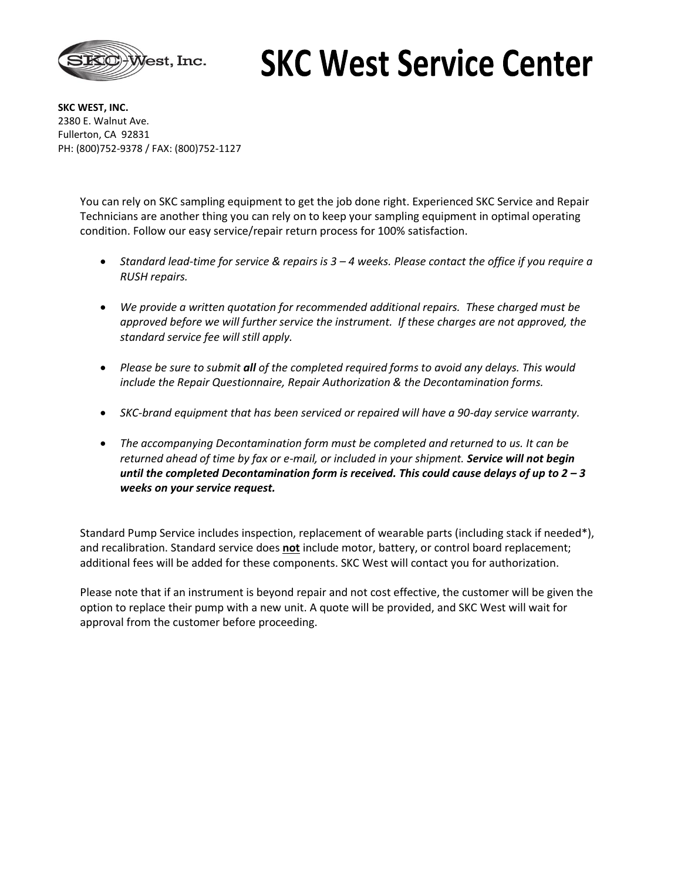

## **SKC West Service Center**

**SKC WEST, INC.** 2380 E. Walnut Ave. Fullerton, CA 92831 PH: (800)752-9378 / FAX: (800)752-1127

> You can rely on SKC sampling equipment to get the job done right. Experienced SKC Service and Repair Technicians are another thing you can rely on to keep your sampling equipment in optimal operating condition. Follow our easy service/repair return process for 100% satisfaction.

- *Standard lead-time for service & repairs is 3 – 4 weeks. Please contact the office if you require a RUSH repairs.*
- *We provide a written quotation for recommended additional repairs. These charged must be approved before we will further service the instrument. If these charges are not approved, the standard service fee will still apply.*
- *Please be sure to submit all of the completed required forms to avoid any delays. This would include the Repair Questionnaire, Repair Authorization & the Decontamination forms.*
- *SKC-brand equipment that has been serviced or repaired will have a 90-day service warranty.*
- *The accompanying Decontamination form must be completed and returned to us. It can be returned ahead of time by fax or e-mail, or included in your shipment. Service will not begin until the completed Decontamination form is received. This could cause delays of up to 2 – 3 weeks on your service request.*

Standard Pump Service includes inspection, replacement of wearable parts (including stack if needed\*), and recalibration. Standard service does **not** include motor, battery, or control board replacement; additional fees will be added for these components. SKC West will contact you for authorization.

Please note that if an instrument is beyond repair and not cost effective, the customer will be given the option to replace their pump with a new unit. A quote will be provided, and SKC West will wait for approval from the customer before proceeding.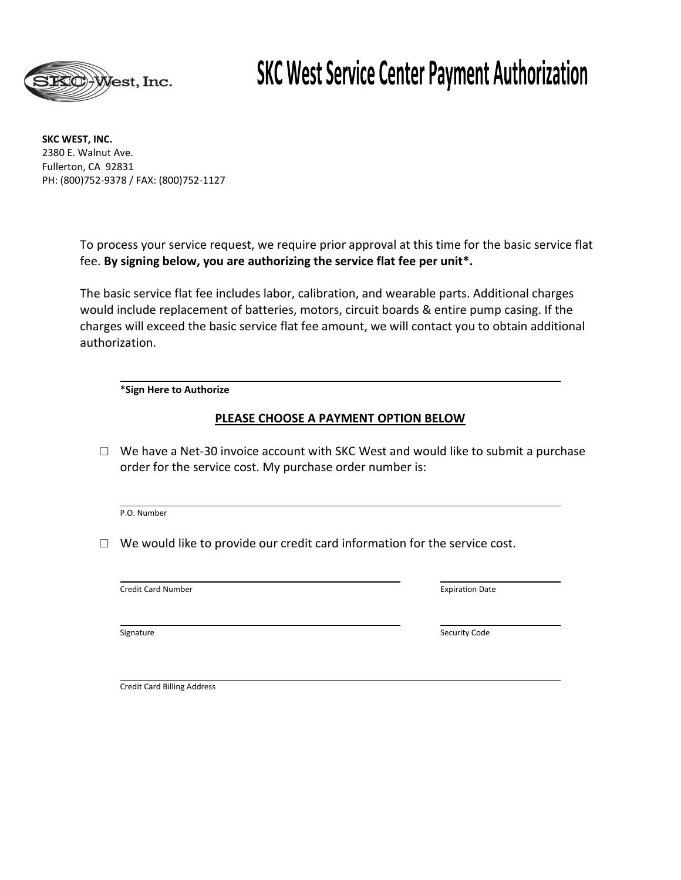

### **SKC West Service Center Payment Authorization**

**SKC WEST, INC.** 2380 E. Walnut Ave. Fullerton, CA 92831 PH: (800)752-9378 / FAX: (800)752-1127

> To process your service request, we require prior approval at this time for the basic service flat fee. **By signing below, you are authorizing the service flat fee per unit\*.**

The basic service flat fee includes labor, calibration, and wearable parts. Additional charges would include replacement of batteries, motors, circuit boards & entire pump casing. If the charges will exceed the basic service flat fee amount, we will contact you to obtain additional authorization.

#### **\*Sign Here to Authorize**

#### **PLEASE CHOOSE A PAYMENT OPTION BELOW**

 $\Box$  We have a Net-30 invoice account with SKC West and would like to submit a purchase order for the service cost. My purchase order number is:

P.O. Number

 $\Box$  We would like to provide our credit card information for the service cost.

**Credit Card Number Contains the Contract of Credit Card Number Credit Card Number** 

Signature Security Code Security Code Security Code Security Code Security Code

Credit Card Billing Address